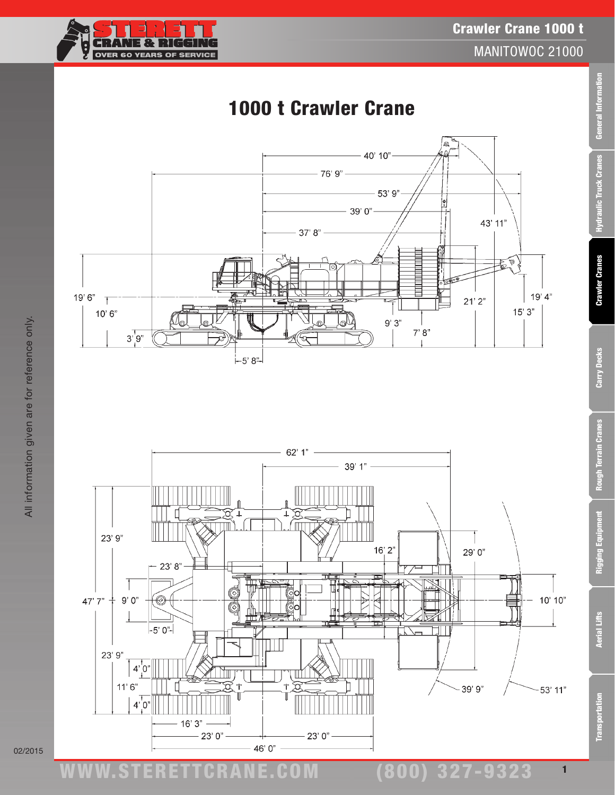#### ww.TDKv.com www.STERETTCRAnE.Com

## (800) 327-9323



#### $-76'9"$  $-53'9''$  $-39'0"$ 43' 11"  $37' 8" \mathbb{E}^{\mathbb{Q}}$  $19'6''$  T  $19'4"$  $21'2"$  $15'3"$  $10'6''$  $9'3"$  $7'8''$  $3^{1}9^{1}$  $-5'8$ <sup>"</sup>

# 1000 t Crawler Crane

 $-40'10"$ 

**CRANE & RIGGII** OVER 60 YEARS OF SERVICE



02/2015

Carry Decks Rough Terrain Cranes

**Crawler Cranes** 

Crawler Crane 1000 t

Q

MANITOWOC 21000

1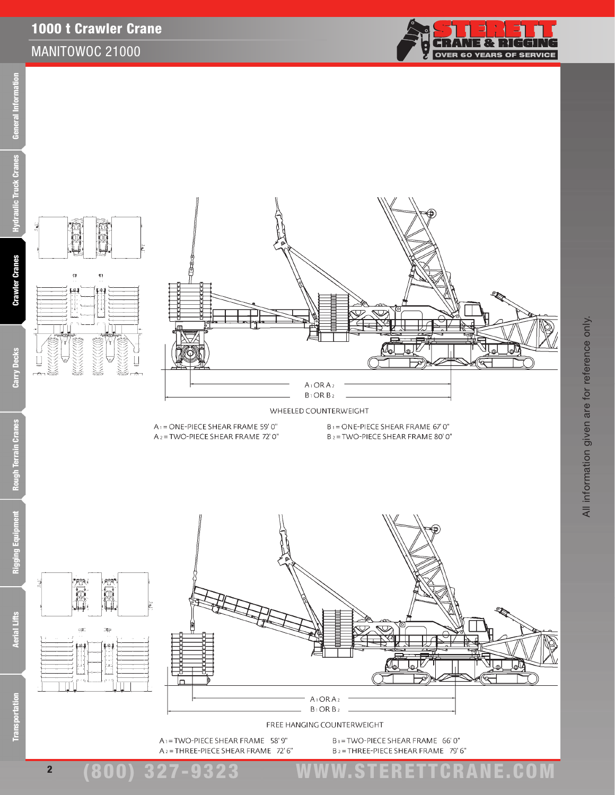### 1000 t Crawler Crane

ņ  $19.1$ 

**in** 

 $\bar{\Omega}$ 

#### MANITOWOC 21000



All information given are for reference only.

All information given are for reference only.





A<sub>2</sub> = THREE-PIECE SHEAR FRAME 72' 6"

B<sub>2</sub>=THREE-PIECE SHEAR FRAME 79'6"

(800) 327-9323 www.STERETTCRAnE.Com

2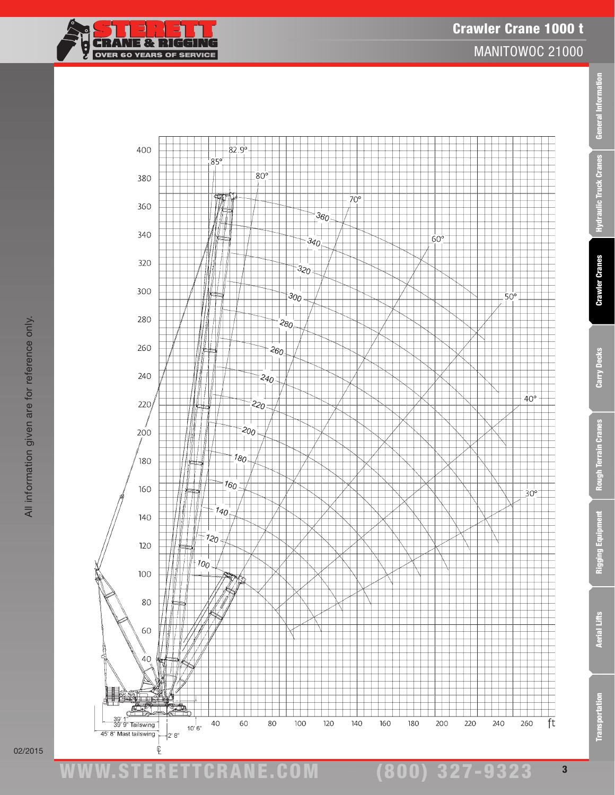



02/2015

www.STERETTCRAnE.Com

Transportation Aerial Lifts Rigging Equipment Rough Terrain Cranes Carry Decks Crawler Cranes Hydraulic Truck Cranes General Information

Rough Terrain Cranes

Rigging Equipment

**Aerial Lifts** 

**Transportation** 

Carry Decks

General Information

Hydraulic Truck Cranes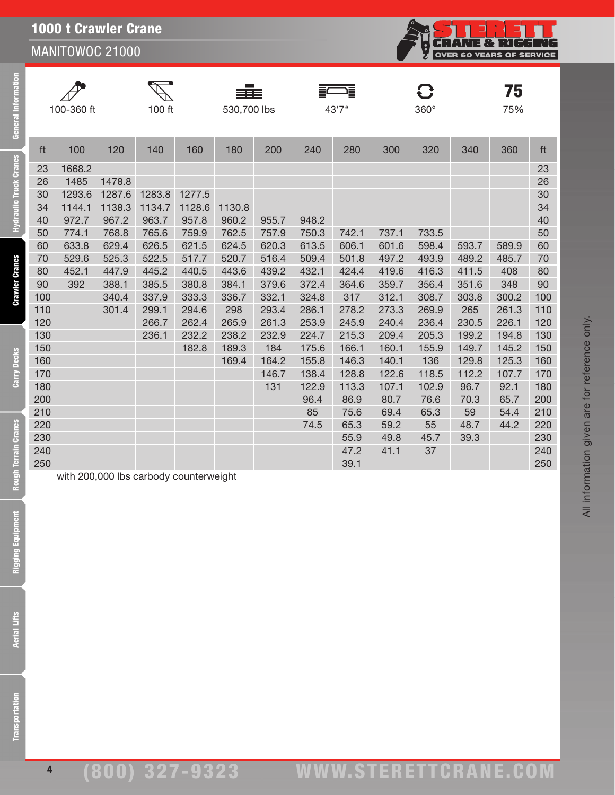**CRANE & RIGGING OVER 60 YEARS OF SERVICE** 

75

General Information

**Hydraulic Truck Cranes** 

**Crawler Cranes** 

Carry Decks





ft 100 120 140 160 180 200 240 280 300 320 340 360 ft

FWE

**C}** 

100-360 ft 100 ft 530,700 lbs 43'7'' 360° 75%

| 100 | 340.4 | 337.9 | 333.3                                  | 336.7 | 332.1 | 324.8 | 317   | 312.1 | 308.7 | 303.8 | 300.2 | 100 |
|-----|-------|-------|----------------------------------------|-------|-------|-------|-------|-------|-------|-------|-------|-----|
| 110 | 301.4 | 299.1 | 294.6                                  | 298   | 293.4 | 286.1 | 278.2 | 273.3 | 269.9 | 265   | 261.3 | 110 |
| 120 |       | 266.7 | 262.4                                  | 265.9 | 261.3 | 253.9 | 245.9 | 240.4 | 236.4 | 230.5 | 226.1 | 120 |
| 130 |       | 236.1 | 232.2                                  | 238.2 | 232.9 | 224.7 | 215.3 | 209.4 | 205.3 | 199.2 | 194.8 | 130 |
| 150 |       |       | 182.8                                  | 189.3 | 184   | 175.6 | 166.1 | 160.1 | 155.9 | 149.7 | 145.2 | 150 |
| 160 |       |       |                                        | 169.4 | 164.2 | 155.8 | 146.3 | 140.1 | 136   | 129.8 | 125.3 | 160 |
| 170 |       |       |                                        |       | 146.7 | 138.4 | 128.8 | 122.6 | 118.5 | 112.2 | 107.7 | 170 |
| 180 |       |       |                                        |       | 131   | 122.9 | 113.3 | 107.1 | 102.9 | 96.7  | 92.1  | 180 |
| 200 |       |       |                                        |       |       | 96.4  | 86.9  | 80.7  | 76.6  | 70.3  | 65.7  | 200 |
| 210 |       |       |                                        |       |       | 85    | 75.6  | 69.4  | 65.3  | 59    | 54.4  | 210 |
| 220 |       |       |                                        |       |       | 74.5  | 65.3  | 59.2  | 55    | 48.7  | 44.2  | 220 |
| 230 |       |       |                                        |       |       |       | 55.9  | 49.8  | 45.7  | 39.3  |       | 230 |
| 240 |       |       |                                        |       |       |       | 47.2  | 41.1  | 37    |       |       | 240 |
| 250 |       |       |                                        |       |       |       | 39.1  |       |       |       |       | 250 |
|     |       |       | with 200,000 lbs carbody counterweight |       |       |       |       |       |       |       |       |     |
|     |       |       |                                        |       |       |       |       |       |       |       |       |     |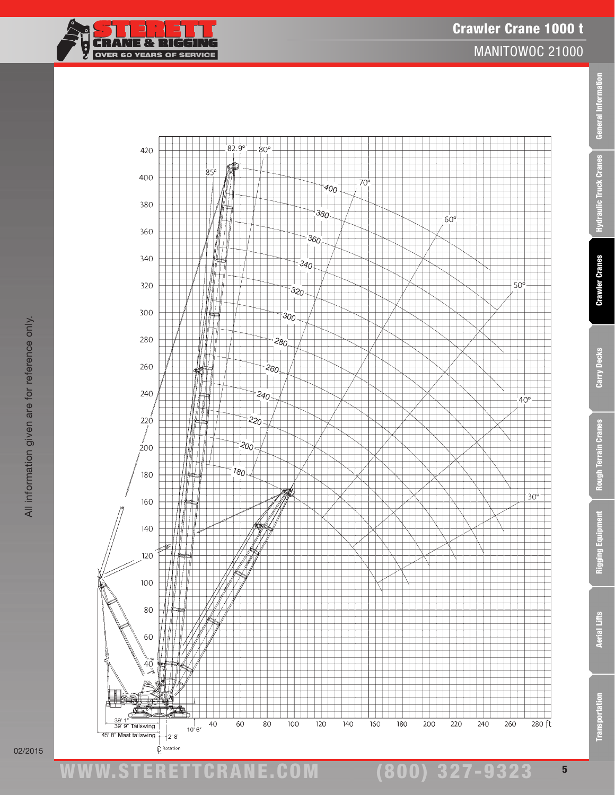



Transportation Aerial Lifts Rigging Equipment Rough Terrain Cranes Carry Decks Crawler Cranes Hydraulic Truck Cranes General Information

**Rough Terrain Cranes** 

Rigging Equipment

**Aerial Lifts** 

**Transportation** 

Carry Decks

General Information

Hydraulic Truck Cranes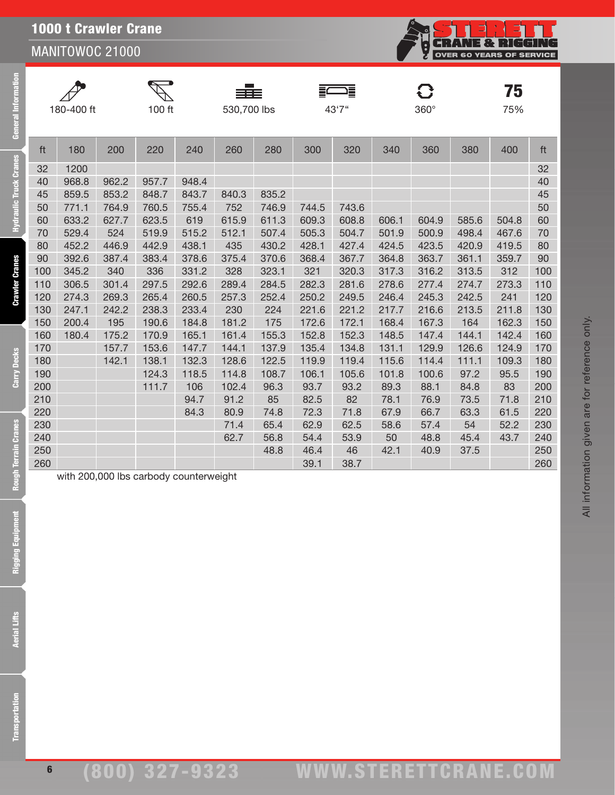**CRANE & RIGGING OVER 60 YEARS OF SERVICE** 

75

| $\mathscr{P}$ |
|---------------|
| 180-400       |



FWE

ft 180 200 220 240 260 280 300 320 340 360 380 400 ft 32 1200 32 968.8 962.2 957.7 948.4 40 859.5 853.2 848.7 843.7 840.3 835.2 45 771.1 764.9 760.5 755.4 752 746.9 744.5 743.6 50 633.2 627.7 623.5 619 615.9 611.3 609.3 608.8 606.1 604.9 585.6 504.8 60 529.4 524 519.9 515.2 512.1 507.4 505.3 504.7 501.9 500.9 498.4 467.6 70 452.2 446.9 442.9 438.1 435 430.2 428.1 427.4 424.5 423.5 420.9 419.5 80 392.6 387.4 383.4 378.6 375.4 370.6 368.4 367.7 364.8 363.7 361.1 359.7 90 345.2 340 336 331.2 328 323.1 321 320.3 317.3 316.2 313.5 312 100 306.5 301.4 297.5 292.6 289.4 284.5 282.3 281.6 278.6 277.4 274.7 273.3 110 274.3 269.3 265.4 260.5 257.3 252.4 250.2 249.5 246.4 245.3 242.5 241 120 247.1 242.2 238.3 233.4 230 224 221.6 221.2 217.7 216.6 213.5 211.8 130 200.4 195 190.6 184.8 181.2 175 172.6 172.1 168.4 167.3 164 162.3 150 180.4 175.2 170.9 165.1 161.4 155.3 152.8 152.3 148.5 147.4 144.1 142.4 160 157.7 153.6 147.7 144.1 137.9 135.4 134.8 131.1 129.9 126.6 124.9 170 142.1 138.1 132.3 128.6 122.5 119.9 119.4 115.6 114.4 111.1 109.3 180 124.3 118.5 114.8 108.7 106.1 105.6 101.8 100.6 97.2 95.5 190 111.7 106 102.4 96.3 93.7 93.2 89.3 88.1 84.8 83 200 94.7 91.2 85 82.5 82 78.1 76.9 73.5 71.8 210 84.3 80.9 74.8 72.3 71.8 67.9 66.7 63.3 61.5 220 71.4 65.4 62.9 62.5 58.6 57.4 54 52.2 230 62.7 56.8 54.4 53.9 50 48.8 45.4 43.7 240 48.8 46.4 46 42.1 40.9 37.5 250 39.1 38.7 260

 $\mathbf{C}$ 

| 180-400 ft | 100 ft | 530,700 lbs | 43'7" | $360^\circ$ | 75% |
|------------|--------|-------------|-------|-------------|-----|
|            |        |             |       |             |     |
|            |        |             |       |             |     |

**Crawler Cranes** 

General Information

**Hydraulic Truck Cranes** 

with 200,000 lbs carbody counterweight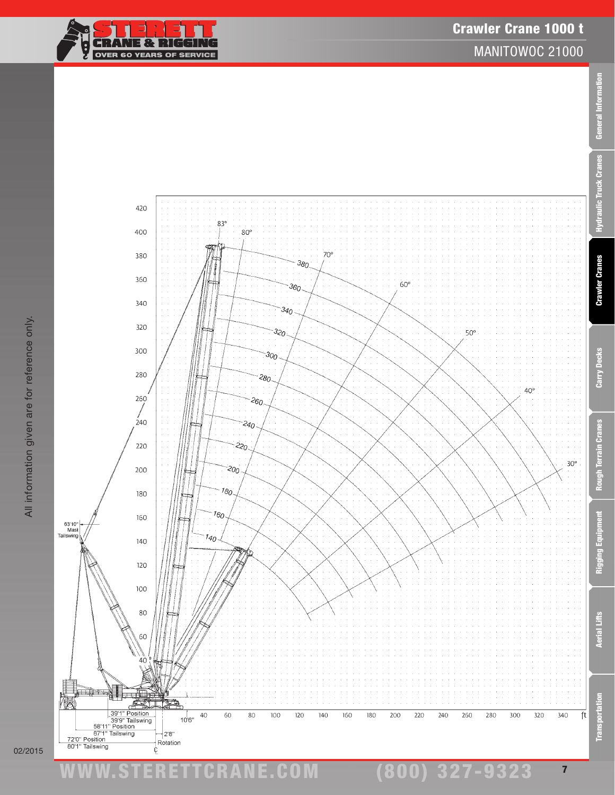# www.STERETTCRAnE.Com



Crawler Crane 1000 t

Transportation Aerial Lifts Rigging Equipment Rough Terrain Cranes Carry Decks Crawler Cranes Hydraulic Truck Cranes General Information

Rough Terrain Cranes

Rigging Equipment

**Aerial Lifts** 

ē

**Transportat** 

Carry Decks

General Information

**Hydraulic Truck Cranes**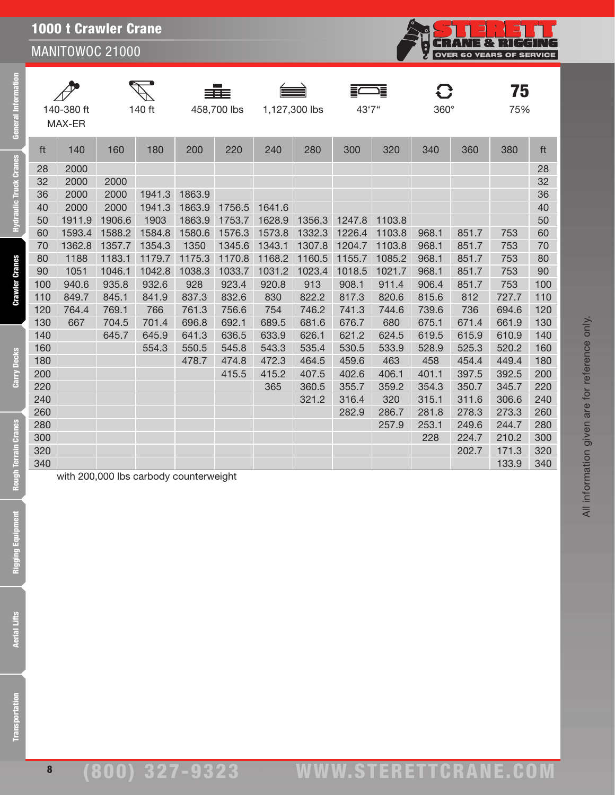|  | <b>1000 t Crawler Crane</b> |  |
|--|-----------------------------|--|
|  |                             |  |

**General Information** 

Hydraulic Truck Cranes

**Crawler Cranes** 

Carry Decks

**Rough Terrain Cranes** 

|     | 140-380 ft<br>MAX-ER                   |        | 140 ft |        | 458,700 lbs |        | 1,127,300 lbs | 43'7"  | Ξ      | C<br>$360^\circ$ |       | 75<br>75% |     |
|-----|----------------------------------------|--------|--------|--------|-------------|--------|---------------|--------|--------|------------------|-------|-----------|-----|
| ft  | 140                                    | 160    | 180    | 200    | 220         | 240    | 280           | 300    | 320    | 340              | 360   | 380       | ft  |
| 28  | 2000                                   |        |        |        |             |        |               |        |        |                  |       |           | 28  |
| 32  | 2000                                   | 2000   |        |        |             |        |               |        |        |                  |       |           | 32  |
| 36  | 2000                                   | 2000   | 1941.3 | 1863.9 |             |        |               |        |        |                  |       |           | 36  |
| 40  | 2000                                   | 2000   | 1941.3 | 1863.9 | 1756.5      | 1641.6 |               |        |        |                  |       |           | 40  |
| 50  | 1911.9                                 | 1906.6 | 1903   | 1863.9 | 1753.7      | 1628.9 | 1356.3        | 1247.8 | 1103.8 |                  |       |           | 50  |
| 60  | 1593.4                                 | 1588.2 | 1584.8 | 1580.6 | 1576.3      | 1573.8 | 1332.3        | 1226.4 | 1103.8 | 968.1            | 851.7 | 753       | 60  |
| 70  | 1362.8                                 | 1357.7 | 1354.3 | 1350   | 1345.6      | 1343.1 | 1307.8        | 1204.7 | 1103.8 | 968.1            | 851.7 | 753       | 70  |
| 80  | 1188                                   | 1183.1 | 1179.7 | 1175.3 | 1170.8      | 1168.2 | 1160.5        | 1155.7 | 1085.2 | 968.1            | 851.7 | 753       | 80  |
| 90  | 1051                                   | 1046.1 | 1042.8 | 1038.3 | 1033.7      | 1031.2 | 1023.4        | 1018.5 | 1021.7 | 968.1            | 851.7 | 753       | 90  |
| 100 | 940.6                                  | 935.8  | 932.6  | 928    | 923.4       | 920.8  | 913           | 908.1  | 911.4  | 906.4            | 851.7 | 753       | 100 |
| 110 | 849.7                                  | 845.1  | 841.9  | 837.3  | 832.6       | 830    | 822.2         | 817.3  | 820.6  | 815.6            | 812   | 727.7     | 110 |
| 120 | 764.4                                  | 769.1  | 766    | 761.3  | 756.6       | 754    | 746.2         | 741.3  | 744.6  | 739.6            | 736   | 694.6     | 120 |
| 130 | 667                                    | 704.5  | 701.4  | 696.8  | 692.1       | 689.5  | 681.6         | 676.7  | 680    | 675.1            | 671.4 | 661.9     | 130 |
| 140 |                                        | 645.7  | 645.9  | 641.3  | 636.5       | 633.9  | 626.1         | 621.2  | 624.5  | 619.5            | 615.9 | 610.9     | 140 |
| 160 |                                        |        | 554.3  | 550.5  | 545.8       | 543.3  | 535.4         | 530.5  | 533.9  | 528.9            | 525.3 | 520.2     | 160 |
| 180 |                                        |        |        | 478.7  | 474.8       | 472.3  | 464.5         | 459.6  | 463    | 458              | 454.4 | 449.4     | 180 |
| 200 |                                        |        |        |        | 415.5       | 415.2  | 407.5         | 402.6  | 406.1  | 401.1            | 397.5 | 392.5     | 200 |
| 220 |                                        |        |        |        |             | 365    | 360.5         | 355.7  | 359.2  | 354.3            | 350.7 | 345.7     | 220 |
| 240 |                                        |        |        |        |             |        | 321.2         | 316.4  | 320    | 315.1            | 311.6 | 306.6     | 240 |
| 260 |                                        |        |        |        |             |        |               | 282.9  | 286.7  | 281.8            | 278.3 | 273.3     | 260 |
| 280 |                                        |        |        |        |             |        |               |        | 257.9  | 253.1            | 249.6 | 244.7     | 280 |
| 300 |                                        |        |        |        |             |        |               |        |        | 228              | 224.7 | 210.2     | 300 |
| 320 |                                        |        |        |        |             |        |               |        |        |                  | 202.7 | 171.3     | 320 |
| 340 |                                        |        |        |        |             |        |               |        |        |                  |       | 133.9     | 340 |
|     | with 200,000 lbs carbody counterweight |        |        |        |             |        |               |        |        |                  |       |           |     |

8

**CRANE & RIGGING**<br>OVER 60 YEARS OF SERVICE

C.<br>C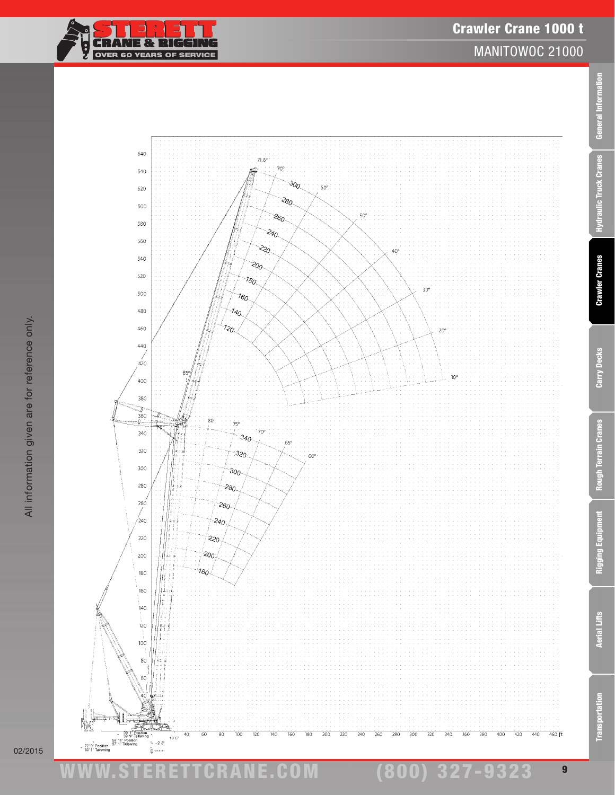ww.TDKv.com

www.STERETTCRAnE.Com

 $|\vdots$ 





MANITOWOC 21000

9

(800) 327-9323

Transportation Aerial Lifts Rigging Equipment Rough Terrain Cranes Carry Decks Crawler Cranes Hydraulic Truck Cranes General Information

**Rough Terrain Cranes** 

**Rigging Equipment** 

**Aerial Lifts** 

**Transportation** 

Carry Decks

General Information

**Hydraulic Truck Cranes**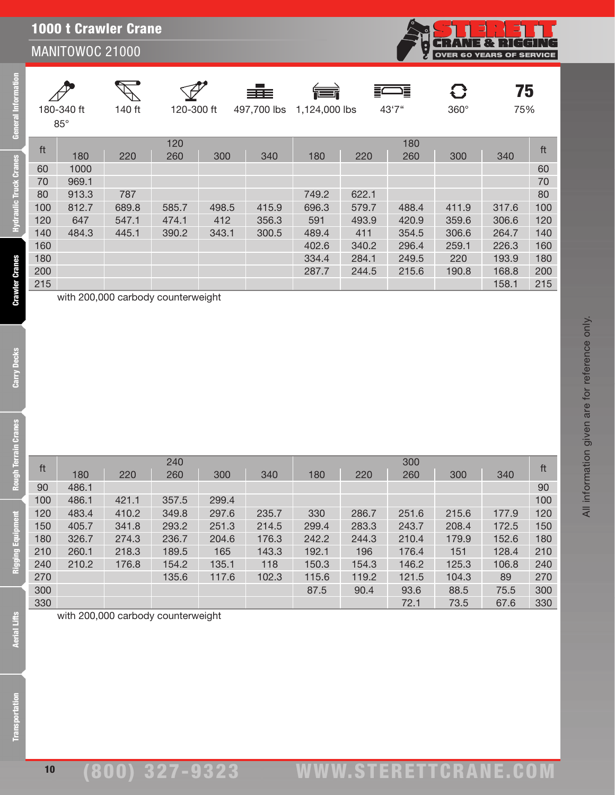| 180-340 ft<br>$85^\circ$ |       | 140 ft | 120-300 ft |       | ≡≡≡<br>497,700 lbs | 请<br>1,124,000 lbs |       | 這<br>43'7" | O<br>$360^\circ$ | 75<br>75% |     |
|--------------------------|-------|--------|------------|-------|--------------------|--------------------|-------|------------|------------------|-----------|-----|
| ft                       |       |        | 120        |       |                    |                    |       | 180        |                  |           | ft  |
|                          | 180   | 220    | 260        | 300   | 340                | 180                | 220   | 260        | 300              | 340       |     |
| 60                       | 1000  |        |            |       |                    |                    |       |            |                  |           | 60  |
| 70                       | 969.1 |        |            |       |                    |                    |       |            |                  |           | 70  |
| 80                       | 913.3 | 787    |            |       |                    | 749.2              | 622.1 |            |                  |           | 80  |
| 100                      | 812.7 | 689.8  | 585.7      | 498.5 | 415.9              | 696.3              | 579.7 | 488.4      | 411.9            | 317.6     | 100 |
| 120                      | 647   | 547.1  | 474.1      | 412   | 356.3              | 591                | 493.9 | 420.9      | 359.6            | 306.6     | 120 |
| 140                      | 484.3 | 445.1  | 390.2      | 343.1 | 300.5              | 489.4              | 411   | 354.5      | 306.6            | 264.7     | 140 |
| 160                      |       |        |            |       |                    | 402.6              | 340.2 | 296.4      | 259.1            | 226.3     | 160 |
| 180                      |       |        |            |       |                    | 334.4              | 284.1 | 249.5      | 220              | 193.9     | 180 |
| 200                      |       |        |            |       |                    | 287.7              | 244.5 | 215.6      | 190.8            | 168.8     | 200 |
| 215                      |       |        |            |       |                    |                    |       |            |                  | 158.1     | 215 |

11 180 220 240<br><sup>11</sup> 180 220 260 300 340 180 220 260 300 340 <sup>ft</sup> 90 486.1 90 486.1 421.1 357.5 299.4 100 483.4 410.2 349.8 297.6 235.7 330 286.7 251.6 215.6 177.9 120 405.7 341.8 293.2 251.3 214.5 299.4 283.3 243.7 208.4 172.5 150 326.7 274.3 236.7 204.6 176.3 242.2 244.3 210.4 179.9 152.6 180 260.1 218.3 189.5 165 143.3 192.1 196 176.4 151 128.4 210 210.2 176.8 154.2 135.1 118 150.3 154.3 146.2 125.3 106.8 240 135.6 117.6 102.3 115.6 119.2 121.5 104.3 89 270 87.5 90.4 93.6 88.5 75.5 300 72.1 73.5 67.6 330

Carry Decks

General Information

**Hydraulic Truck Cranes** 

with 200,000 carbody counterweight

**Aerial Lifts** 

with 200,000 carbody counterweight

All information given are for reference only. All information given are for reference only.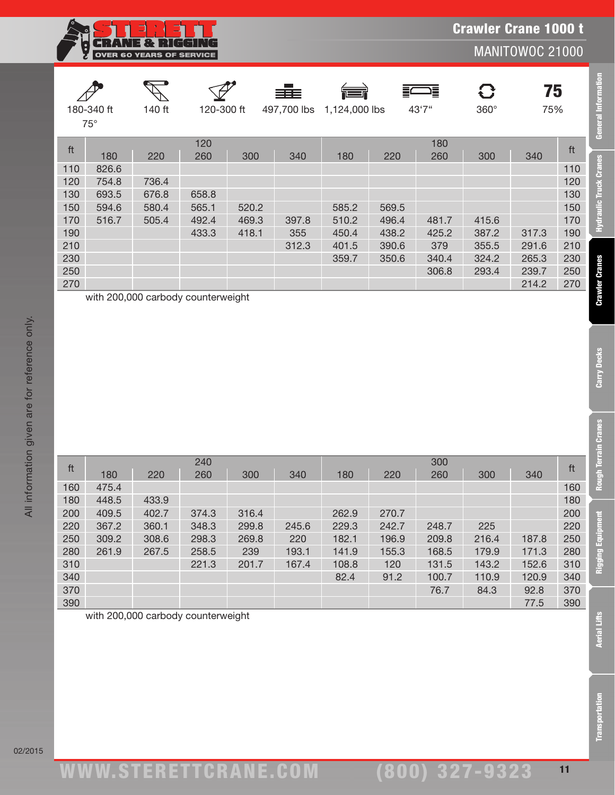| Î.                       |       | <b>OVER 60 YEARS OF SERVICE</b> |            |       |                   |               |       |             | <b>Crawler Crane 1000 t</b> | MANITOWOC 21000 |     |
|--------------------------|-------|---------------------------------|------------|-------|-------------------|---------------|-------|-------------|-----------------------------|-----------------|-----|
| 180-340 ft<br>$75^\circ$ |       | 140 ft                          | 120-300 ft |       | 青手<br>497,700 lbs | 1,124,000 lbs |       | ∍≣<br>43'7" | $360^\circ$                 | 75<br>75%       |     |
| ft                       |       |                                 | 120        |       |                   |               |       | 180         |                             |                 | ft  |
|                          | 180   | 220                             | 260        | 300   | 340               | 180           | 220   | 260         | 300                         | 340             |     |
| 110                      | 826.6 |                                 |            |       |                   |               |       |             |                             |                 | 110 |
| 120                      | 754.8 | 736.4                           |            |       |                   |               |       |             |                             |                 | 120 |
| 130                      | 693.5 | 676.8                           | 658.8      |       |                   |               |       |             |                             |                 | 130 |
| 150                      | 594.6 | 580.4                           | 565.1      | 520.2 |                   | 585.2         | 569.5 |             |                             |                 | 150 |
| 170                      | 516.7 | 505.4                           | 492.4      | 469.3 | 397.8             | 510.2         | 496.4 | 481.7       | 415.6                       |                 | 170 |
| 190                      |       |                                 | 433.3      | 418.1 | 355               | 450.4         | 438.2 | 425.2       | 387.2                       | 317.3           | 190 |
| 210                      |       |                                 |            |       | 312.3             | 401.5         | 390.6 | 379         | 355.5                       | 291.6           | 210 |
| 230                      |       |                                 |            |       |                   | 359.7         | 350.6 | 340.4       | 324.2                       | 265.3           | 230 |
| 250                      |       |                                 |            |       |                   |               |       | 306.8       | 293.4                       | 239.7           | 250 |
| 270                      |       |                                 |            |       |                   |               |       |             |                             | 214.2           | 270 |

with 200,000 carbody counterweight

| ft  |       |       | 240   |       |       |       |       | 300   |       |       | ft  |
|-----|-------|-------|-------|-------|-------|-------|-------|-------|-------|-------|-----|
|     | 180   | 220   | 260   | 300   | 340   | 180   | 220   | 260   | 300   | 340   |     |
| 160 | 475.4 |       |       |       |       |       |       |       |       |       | 160 |
| 180 | 448.5 | 433.9 |       |       |       |       |       |       |       |       | 180 |
| 200 | 409.5 | 402.7 | 374.3 | 316.4 |       | 262.9 | 270.7 |       |       |       | 200 |
| 220 | 367.2 | 360.1 | 348.3 | 299.8 | 245.6 | 229.3 | 242.7 | 248.7 | 225   |       | 220 |
| 250 | 309.2 | 308.6 | 298.3 | 269.8 | 220   | 182.1 | 196.9 | 209.8 | 216.4 | 187.8 | 250 |
| 280 | 261.9 | 267.5 | 258.5 | 239   | 193.1 | 141.9 | 155.3 | 168.5 | 179.9 | 171.3 | 280 |
| 310 |       |       | 221.3 | 201.7 | 167.4 | 108.8 | 120   | 131.5 | 143.2 | 152.6 | 310 |
| 340 |       |       |       |       |       | 82.4  | 91.2  | 100.7 | 110.9 | 120.9 | 340 |
| 370 |       |       |       |       |       |       |       | 76.7  | 84.3  | 92.8  | 370 |
| 390 |       |       |       |       |       |       |       |       |       | 77.5  | 390 |

with 200,000 carbody counterweight

Transportation Aerial Lifts Rigging Equipment Rough Terrain Cranes Carry Decks Crawler Cranes Hydraulic Truck Cranes General Information

**Rough Terrain Cranes** 

Rigging Equipment

**Aerial Lifts** 

**Transportation** 

Carry Decks

**General Information** 

Hydraulic Truck Cranes